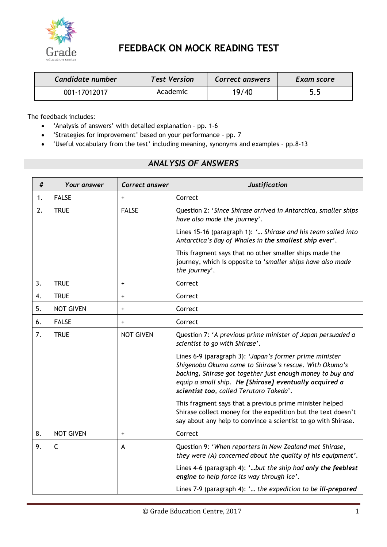

# **FEEDBACK ON MOCK READING TEST**

| Candidate number | <b>Test Version</b> | Correct answers | Exam score |
|------------------|---------------------|-----------------|------------|
| 001-17012017     | Academic            | 19/40           | 5.5        |

The feedback includes:

- 'Analysis of answers' with detailed explanation pp. 1-6
- 'Strategies for improvement' based on your performance pp. 7
- 'Useful vocabulary from the test' including meaning, synonyms and examples pp.8-13

# *ANALYSIS OF ANSWERS*

| #  | Your answer      | Correct answer                   | <b>Justification</b>                                                                                                                                                                                                                                                                 |
|----|------------------|----------------------------------|--------------------------------------------------------------------------------------------------------------------------------------------------------------------------------------------------------------------------------------------------------------------------------------|
| 1. | <b>FALSE</b>     | $\ddot{}$                        | Correct                                                                                                                                                                                                                                                                              |
| 2. | <b>TRUE</b>      | <b>FALSE</b>                     | Question 2: 'Since Shirase arrived in Antarctica, smaller ships<br>have also made the journey'.                                                                                                                                                                                      |
|    |                  |                                  | Lines 15-16 (paragraph 1): ' Shirase and his team sailed into<br>Antarctica's Bay of Whales in the smallest ship ever'.                                                                                                                                                              |
|    |                  |                                  | This fragment says that no other smaller ships made the<br>journey, which is opposite to 'smaller ships have also made<br>the journey'.                                                                                                                                              |
| 3. | <b>TRUE</b>      | $\begin{array}{c} + \end{array}$ | Correct                                                                                                                                                                                                                                                                              |
| 4. | <b>TRUE</b>      | $\ddot{}$                        | Correct                                                                                                                                                                                                                                                                              |
| 5. | <b>NOT GIVEN</b> | $\ddot{}$                        | Correct                                                                                                                                                                                                                                                                              |
| 6. | <b>FALSE</b>     | $\ddot{}$                        | Correct                                                                                                                                                                                                                                                                              |
| 7. | <b>TRUE</b>      | <b>NOT GIVEN</b>                 | Question 7: 'A previous prime minister of Japan persuaded a<br>scientist to go with Shirase'.                                                                                                                                                                                        |
|    |                  |                                  | Lines 6-9 (paragraph 3): 'Japan's former prime minister<br>Shigenobu Okuma came to Shirase's rescue. With Okuma's<br>backing, Shirase got together just enough money to buy and<br>equip a small ship. He [Shirase] eventually acquired a<br>scientist too, called Terutaro Takeda'. |
|    |                  |                                  | This fragment says that a previous prime minister helped<br>Shirase collect money for the expedition but the text doesn't<br>say about any help to convince a scientist to go with Shirase.                                                                                          |
| 8. | <b>NOT GIVEN</b> | $\ddot{}$                        | Correct                                                                                                                                                                                                                                                                              |
| 9. | C                | A                                | Question 9: 'When reporters in New Zealand met Shirase,<br>they were (A) concerned about the quality of his equipment'.                                                                                                                                                              |
|    |                  |                                  | Lines 4-6 (paragraph 4): 'but the ship had only the feeblest<br>engine to help force its way through ice'.                                                                                                                                                                           |
|    |                  |                                  | Lines 7-9 (paragraph 4): ' the expedition to be ill-prepared                                                                                                                                                                                                                         |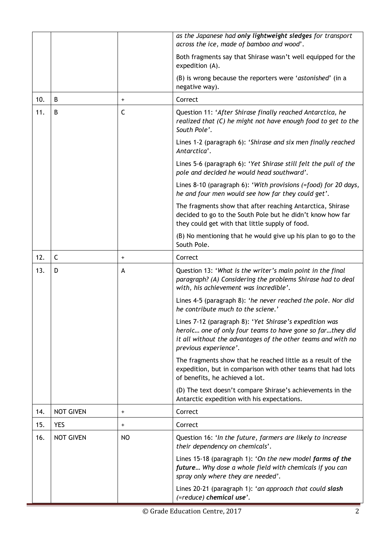|     |                  |              | as the Japanese had only lightweight sledges for transport<br>across the ice, made of bamboo and wood'.                                                                                                       |
|-----|------------------|--------------|---------------------------------------------------------------------------------------------------------------------------------------------------------------------------------------------------------------|
|     |                  |              | Both fragments say that Shirase wasn't well equipped for the<br>expedition (A).                                                                                                                               |
|     |                  |              | (B) is wrong because the reporters were 'astonished' (in a<br>negative way).                                                                                                                                  |
| 10. | B                | $\ddot{}$    | Correct                                                                                                                                                                                                       |
| 11. | B                | $\mathsf{C}$ | Question 11: 'After Shirase finally reached Antarctica, he<br>realized that (C) he might not have enough food to get to the<br>South Pole'.                                                                   |
|     |                  |              | Lines 1-2 (paragraph 6): 'Shirase and six men finally reached<br>Antarctica'.                                                                                                                                 |
|     |                  |              | Lines 5-6 (paragraph 6): 'Yet Shirase still felt the pull of the<br>pole and decided he would head southward'.                                                                                                |
|     |                  |              | Lines 8-10 (paragraph 6): 'With provisions (=food) for 20 days,<br>he and four men would see how far they could get'.                                                                                         |
|     |                  |              | The fragments show that after reaching Antarctica, Shirase<br>decided to go to the South Pole but he didn't know how far<br>they could get with that little supply of food.                                   |
|     |                  |              | (B) No mentioning that he would give up his plan to go to the<br>South Pole.                                                                                                                                  |
| 12. | C                | $\ddot{}$    | Correct                                                                                                                                                                                                       |
| 13. | D                | A            | Question 13: 'What is the writer's main point in the final<br>paragraph? (A) Considering the problems Shirase had to deal<br>with, his achievement was incredible'.                                           |
|     |                  |              | Lines 4-5 (paragraph 8): 'he never reached the pole. Nor did<br>he contribute much to the sciene.'                                                                                                            |
|     |                  |              | Lines 7-12 (paragraph 8): 'Yet Shirase's expedition was<br>heroic one of only four teams to have gone so farthey did<br>it all without the advantages of the other teams and with no<br>previous experience'. |
|     |                  |              | The fragments show that he reached little as a result of the<br>expedition, but in comparison with other teams that had lots<br>of benefits, he achieved a lot.                                               |
|     |                  |              | (D) The text doesn't compare Shirase's achievements in the<br>Antarctic expedition with his expectations.                                                                                                     |
| 14. | <b>NOT GIVEN</b> | $\ddot{}$    | Correct                                                                                                                                                                                                       |
| 15. | <b>YES</b>       | $\ddot{}$    | Correct                                                                                                                                                                                                       |
| 16. | <b>NOT GIVEN</b> | NO           | Question 16: 'In the future, farmers are likely to increase<br>their dependency on chemicals'.                                                                                                                |
|     |                  |              | Lines 15-18 (paragraph 1): 'On the new model farms of the<br>future Why dose a whole field with chemicals if you can<br>spray only where they are needed'.                                                    |
|     |                  |              | Lines 20-21 (paragraph 1): 'an approach that could slash<br>(=reduce) chemical use'.                                                                                                                          |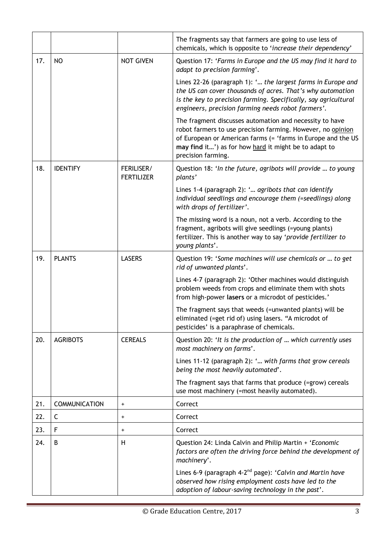|     |                      |                                 | The fragments say that farmers are going to use less of<br>chemicals, which is opposite to 'increase their dependency'                                                                                                                                                |
|-----|----------------------|---------------------------------|-----------------------------------------------------------------------------------------------------------------------------------------------------------------------------------------------------------------------------------------------------------------------|
| 17. | <b>NO</b>            | <b>NOT GIVEN</b>                | Question 17: 'Farms in Europe and the US may find it hard to<br>adapt to precision farming'.                                                                                                                                                                          |
|     |                      |                                 | Lines 22-26 (paragraph 1): ' the largest farms in Europe and<br>the US can cover thousands of acres. That's why automation<br>is the key to precision farming. Specifically, say agricultural<br>engineers, precision farming needs robot farmers'.                   |
|     |                      |                                 | The fragment discusses automation and necessity to have<br>robot farmers to use precision farming. However, no opinion<br>of European or American farms (= 'farms in Europe and the US<br>may find it') as for how hard it might be to adapt to<br>precision farming. |
| 18. | <b>IDENTIFY</b>      | FERILISER/<br><b>FERTILIZER</b> | Question 18: 'In the future, agribots will provide  to young<br>plants'                                                                                                                                                                                               |
|     |                      |                                 | Lines 1-4 (paragraph 2): ' agribots that can identify<br>individual seedlings and encourage them (=seedlings) along<br>with drops of fertilizer'.                                                                                                                     |
|     |                      |                                 | The missing word is a noun, not a verb. According to the<br>fragment, agribots will give seedlings (=young plants)<br>fertilizer. This is another way to say 'provide fertilizer to<br>young plants'.                                                                 |
| 19. | <b>PLANTS</b>        | <b>LASERS</b>                   | Question 19: 'Some machines will use chemicals or  to get<br>rid of unwanted plants'.                                                                                                                                                                                 |
|     |                      |                                 | Lines 4-7 (paragraph 2): 'Other machines would distinguish<br>problem weeds from crops and eliminate them with shots<br>from high-power lasers or a microdot of pesticides.'                                                                                          |
|     |                      |                                 | The fragment says that weeds (=unwanted plants) will be<br>eliminated (=get rid of) using lasers. "A microdot of<br>pesticides' is a paraphrase of chemicals.                                                                                                         |
| 20. | <b>AGRIBOTS</b>      | <b>CEREALS</b>                  | Question 20: 'It is the production of  which currently uses<br>most machinery on farms'.                                                                                                                                                                              |
|     |                      |                                 | Lines 11-12 (paragraph 2): ' with farms that grow cereals<br>being the most heavily automated'.                                                                                                                                                                       |
|     |                      |                                 | The fragment says that farms that produce (=grow) cereals<br>use most machinery (=most heavily automated).                                                                                                                                                            |
| 21. | <b>COMMUNICATION</b> | $\ddot{}$                       | Correct                                                                                                                                                                                                                                                               |
| 22. | C                    | $\ddot{}$                       | Correct                                                                                                                                                                                                                                                               |
| 23. | F                    | $\ddot{}$                       | Correct                                                                                                                                                                                                                                                               |
| 24. | B                    | H                               | Question 24: Linda Calvin and Philip Martin + 'Economic<br>factors are often the driving force behind the development of<br>machinery'.                                                                                                                               |
|     |                      |                                 | Lines 6-9 (paragraph 4-2 <sup>nd</sup> page): 'Calvin and Martin have<br>observed how rising employment costs have led to the<br>adoption of labour-saving technology in the past'.                                                                                   |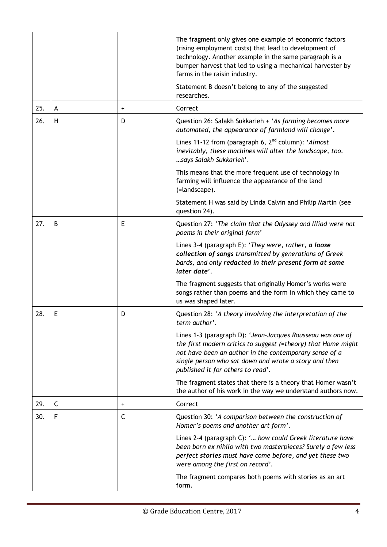|     |              |           | The fragment only gives one example of economic factors<br>(rising employment costs) that lead to development of<br>technology. Another example in the same paragraph is a<br>bumper harvest that led to using a mechanical harvester by<br>farms in the raisin industry.<br>Statement B doesn't belong to any of the suggested |
|-----|--------------|-----------|---------------------------------------------------------------------------------------------------------------------------------------------------------------------------------------------------------------------------------------------------------------------------------------------------------------------------------|
|     |              |           | researches.                                                                                                                                                                                                                                                                                                                     |
| 25. | A            | $\ddot{}$ | Correct                                                                                                                                                                                                                                                                                                                         |
| 26. | H            | D         | Question 26: Salakh Sukkarieh + 'As farming becomes more<br>automated, the appearance of farmland will change'.                                                                                                                                                                                                                 |
|     |              |           | Lines 11-12 from (paragraph 6, $2nd$ column): 'Almost<br>inevitably, these machines will alter the landscape, too.<br>says Salakh Sukkarieh'.                                                                                                                                                                                   |
|     |              |           | This means that the more frequent use of technology in<br>farming will influence the appearance of the land<br>(=landscape).                                                                                                                                                                                                    |
|     |              |           | Statement H was said by Linda Calvin and Philip Martin (see<br>question 24).                                                                                                                                                                                                                                                    |
| 27. | B            | E         | Question 27: 'The claim that the Odyssey and Illiad were not<br>poems in their original form'                                                                                                                                                                                                                                   |
|     |              |           | Lines 3-4 (paragraph E): 'They were, rather, a loose<br>collection of songs transmitted by generations of Greek<br>bards, and only redacted in their present form at some<br>later date'.                                                                                                                                       |
|     |              |           | The fragment suggests that originally Homer's works were<br>songs rather than poems and the form in which they came to<br>us was shaped later.                                                                                                                                                                                  |
| 28. | E            | D         | Question 28: 'A theory involving the interpretation of the<br>term author'.                                                                                                                                                                                                                                                     |
|     |              |           | Lines 1-3 (paragraph D): 'Jean-Jacques Rousseau was one of<br>the first modern critics to suggest (=theory) that Home might<br>not have been an author in the contemporary sense of a<br>single person who sat down and wrote a story and then<br>published it for others to read'.                                             |
|     |              |           | The fragment states that there is a theory that Homer wasn't<br>the author of his work in the way we understand authors now.                                                                                                                                                                                                    |
| 29. | $\mathsf{C}$ | $\ddot{}$ | Correct                                                                                                                                                                                                                                                                                                                         |
| 30. | F            | C         | Question 30: 'A comparison between the construction of<br>Homer's poems and another art form'.                                                                                                                                                                                                                                  |
|     |              |           | Lines 2-4 (paragraph C): ' how could Greek literature have<br>been born ex nihilo with two masterpieces? Surely a few less<br>perfect stories must have come before, and yet these two<br>were among the first on record'.                                                                                                      |
|     |              |           | The fragment compares both poems with stories as an art<br>form.                                                                                                                                                                                                                                                                |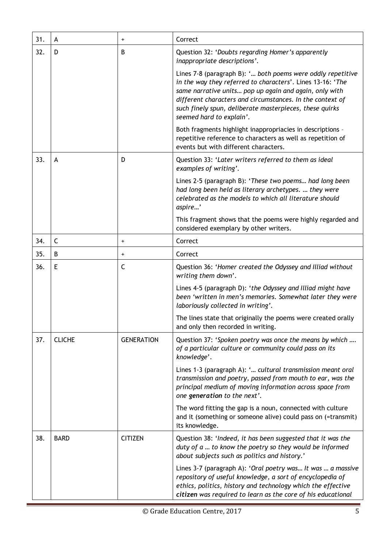| 31. | A             | $\ddot{}$         | Correct                                                                                                                                                                                                                                                                                                                                 |
|-----|---------------|-------------------|-----------------------------------------------------------------------------------------------------------------------------------------------------------------------------------------------------------------------------------------------------------------------------------------------------------------------------------------|
| 32. | D             | B                 | Question 32: 'Doubts regarding Homer's apparently<br>inappropriate descriptions'.                                                                                                                                                                                                                                                       |
|     |               |                   | Lines 7-8 (paragraph B): ' both poems were oddly repetitive<br>in the way they referred to characters'. Lines 13-16: 'The<br>same narrative units pop up again and again, only with<br>different characters and circumstances. In the context of<br>such finely spun, deliberate masterpieces, these quirks<br>seemed hard to explain'. |
|     |               |                   | Both fragments highlight inappropriacies in descriptions -<br>repetitive reference to characters as well as repetition of<br>events but with different characters.                                                                                                                                                                      |
| 33. | A             | D                 | Question 33: 'Later writers referred to them as ideal<br>examples of writing'.                                                                                                                                                                                                                                                          |
|     |               |                   | Lines 2-5 (paragraph B): 'These two poems had long been<br>had long been held as literary archetypes.  they were<br>celebrated as the models to which all literature should<br>aspire'                                                                                                                                                  |
|     |               |                   | This fragment shows that the poems were highly regarded and<br>considered exemplary by other writers.                                                                                                                                                                                                                                   |
| 34. | C             | $\ddot{}$         | Correct                                                                                                                                                                                                                                                                                                                                 |
| 35. | В             | $\ddot{}$         | Correct                                                                                                                                                                                                                                                                                                                                 |
| 36. | E             | C                 | Question 36: 'Homer created the Odyssey and Illiad without<br>writing them down'.                                                                                                                                                                                                                                                       |
|     |               |                   | Lines 4-5 (paragraph D): 'the Odyssey and Illiad might have<br>been 'written in men's memories. Somewhat later they were<br>laboriously collected in writing'.                                                                                                                                                                          |
|     |               |                   | The lines state that originally the poems were created orally<br>and only then recorded in writing.                                                                                                                                                                                                                                     |
| 37. | <b>CLICHE</b> | <b>GENERATION</b> | Question 37: 'Spoken poetry was once the means by which<br>of a particular culture or community could pass on its<br>knowledge'.                                                                                                                                                                                                        |
|     |               |                   | Lines 1-3 (paragraph A): ' cultural transmission meant oral<br>transmission and poetry, passed from mouth to ear, was the<br>principal medium of moving information across space from<br>one generation to the next'.                                                                                                                   |
|     |               |                   | The word fitting the gap is a noun, connected with culture<br>and it (something or someone alive) could pass on (=transmit)<br>its knowledge.                                                                                                                                                                                           |
| 38. | <b>BARD</b>   | <b>CITIZEN</b>    | Question 38: 'Indeed, it has been suggested that it was the<br>duty of a  to know the poetry so they would be informed<br>about subjects such as politics and history.'                                                                                                                                                                 |
|     |               |                   | Lines 3-7 (paragraph A): 'Oral poetry was It was  a massive<br>repository of useful knowledge, a sort of encyclopedia of<br>ethics, politics, history and technology which the effective<br>citizen was required to learn as the core of his educational                                                                                |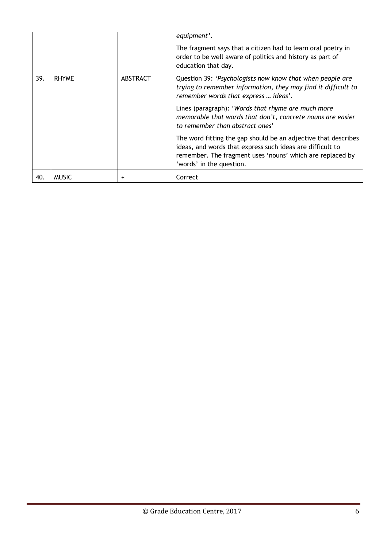|     |              |                | equipment'.<br>The fragment says that a citizen had to learn oral poetry in<br>order to be well aware of politics and history as part of<br>education that day.                                                      |
|-----|--------------|----------------|----------------------------------------------------------------------------------------------------------------------------------------------------------------------------------------------------------------------|
| 39. | <b>RHYME</b> | ABSTRACT       | Question 39: 'Psychologists now know that when people are<br>trying to remember information, they may find it difficult to<br>remember words that express  ideas'.                                                   |
|     |              |                | Lines (paragraph): 'Words that rhyme are much more<br>memorable that words that don't, concrete nouns are easier<br>to remember than abstract ones'                                                                  |
|     |              |                | The word fitting the gap should be an adjective that describes<br>ideas, and words that express such ideas are difficult to<br>remember. The fragment uses 'nouns' which are replaced by<br>'words' in the question. |
| 40. | <b>MUSIC</b> | $\overline{1}$ | Correct                                                                                                                                                                                                              |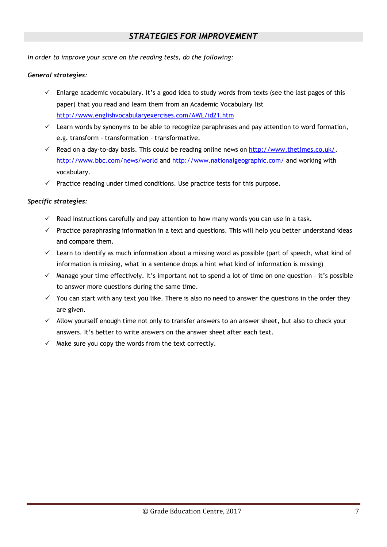### *STRATEGIES FOR IMPROVEMENT*

*In order to improve your score on the reading tests, do the following:*

#### *General strategies:*

- $\checkmark$  Enlarge academic vocabulary. It's a good idea to study words from texts (see the last pages of this paper) that you read and learn them from an Academic Vocabulary list http://www.englishvocabularyexercises.com/AWL/id21.htm
- $\checkmark$  Learn words by synonyms to be able to recognize paraphrases and pay attention to word formation, e.g. transform – transformation – transformative.
- $\checkmark$  Read on a day-to-day basis. This could be reading online news on http://www.thetimes.co.uk/, http://www.bbc.com/news/world and http://www.nationalgeographic.com/ and working with vocabulary.
- $\checkmark$  Practice reading under timed conditions. Use practice tests for this purpose.

#### *Specific strategies:*

- $\checkmark$  Read instructions carefully and pay attention to how many words you can use in a task.
- $\checkmark$  Practice paraphrasing information in a text and questions. This will help you better understand ideas and compare them.
- $\checkmark$  Learn to identify as much information about a missing word as possible (part of speech, what kind of information is missing, what in a sentence drops a hint what kind of information is missing)
- $\checkmark$  Manage your time effectively. It's important not to spend a lot of time on one question it's possible to answer more questions during the same time.
- $\checkmark$  You can start with any text you like. There is also no need to answer the questions in the order they are given.
- $\checkmark$  Allow yourself enough time not only to transfer answers to an answer sheet, but also to check your answers. It's better to write answers on the answer sheet after each text.
- $\checkmark$  Make sure you copy the words from the text correctly.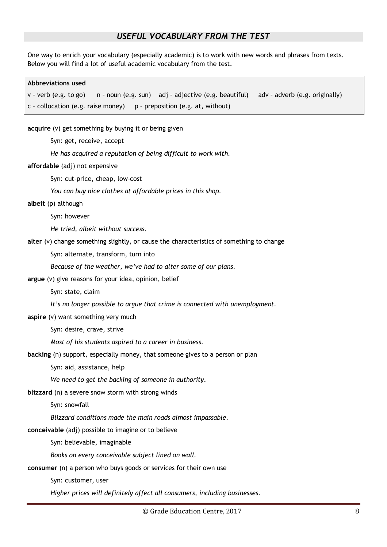### *USEFUL VOCABULARY FROM THE TEST*

One way to enrich your vocabulary (especially academic) is to work with new words and phrases from texts. Below you will find a lot of useful academic vocabulary from the test.

## **Abbreviations used** v – verb (e.g. to go) n – noun (e.g. sun) adj – adjective (e.g. beautiful) adv – adverb (e.g. originally) c - collocation (e.g. raise money)  $p -$  preposition (e.g. at, without)

**acquire** (v) get something by buying it or being given

Syn: get, receive, accept

*He has acquired a reputation of being difficult to work with.*

**affordable** (adj) not expensive

Syn: cut-price, cheap, low-cost

*You can buy nice clothes at affordable prices in this shop.*

**albeit** (p) although

Syn: however

*He tried, albeit without success.*

**alter** (v) change something slightly, or cause the characteristics of something to change

Syn: alternate, transform, turn into

*Because of the weather, we've had to alter some of our plans.*

**argue** (v) give reasons for your idea, opinion, belief

Syn: state, claim

*It's no longer possible to argue that crime is connected with unemployment.*

**aspire** (v) want something very much

Syn: desire, crave, strive

*Most of his students aspired to a career in business.* 

**backing** (n) support, especially money, that someone gives to a person or plan

Syn: aid, assistance, help

*We need to get the backing of someone in authority.*

**blizzard** (n) a severe snow storm with strong winds

Syn: snowfall

*Blizzard conditions made the main roads almost impassable.*

**conceivable** (adj) possible to imagine or to believe

Syn: believable, imaginable

*Books on every conceivable subject lined on wall.*

**consumer** (n) a person who buys goods or services for their own use

Syn: customer, user

*Higher prices will definitely affect all consumers, including businesses.*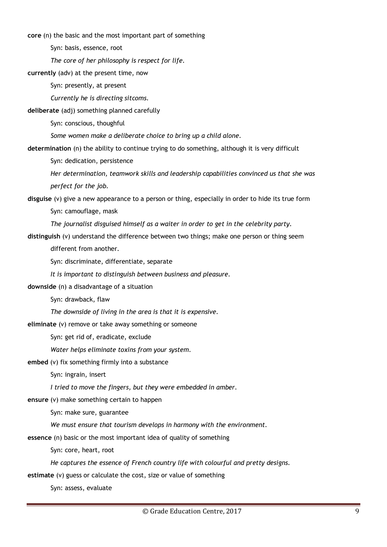**core** (n) the basic and the most important part of something

Syn: basis, essence, root

*The core of her philosophy is respect for life.*

**currently** (adv) at the present time, now

Syn: presently, at present

*Currently he is directing sitcoms.*

**deliberate** (adj) something planned carefully

Syn: conscious, thoughful

*Some women make a deliberate choice to bring up a child alone.*

**determination** (n) the ability to continue trying to do something, although it is very difficult

Syn: dedication, persistence

*Her determination, teamwork skills and leadership capabilities convinced us that she was perfect for the job.*

**disguise** (v) give a new appearance to a person or thing, especially in order to hide its true form Syn: camouflage, mask

*The journalist disguised himself as a waiter in order to get in the celebrity party.*

**distinguish** (v) understand the difference between two things; make one person or thing seem

different from another.

Syn: discriminate, differentiate, separate

*It is important to distinguish between business and pleasure.*

**downside** (n) a disadvantage of a situation

Syn: drawback, flaw

*The downside of living in the area is that it is expensive.*

**eliminate** (v) remove or take away something or someone

Syn: get rid of, eradicate, exclude

*Water helps eliminate toxins from your system.*

**embed** (v) fix something firmly into a substance

Syn: ingrain, insert

*I tried to move the fingers, but they were embedded in amber.* 

**ensure** (v) make something certain to happen

Syn: make sure, guarantee

*We must ensure that tourism develops in harmony with the environment.*

**essence** (n) basic or the most important idea of quality of something

Syn: core, heart, root

*He captures the essence of French country life with colourful and pretty designs.*

**estimate** (v) guess or calculate the cost, size or value of something

Syn: assess, evaluate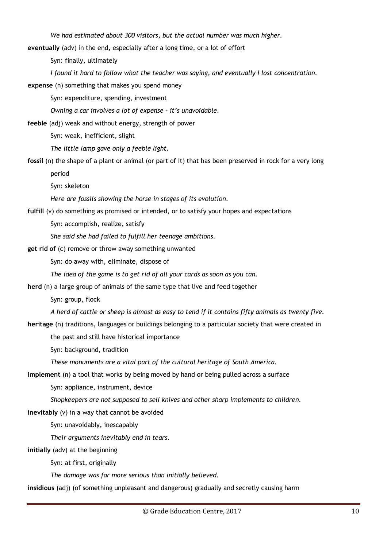*We had estimated about 300 visitors, but the actual number was much higher.*

**eventually** (adv) in the end, especially after a long time, or a lot of effort

Syn: finally, ultimately

*I found it hard to follow what the teacher was saying, and eventually I lost concentration.*

**expense** (n) something that makes you spend money

Syn: expenditure, spending, investment

*Owning a car involves a lot of expense – it's unavoidable.* 

**feeble** (adj) weak and without energy, strength of power

Syn: weak, inefficient, slight

*The little lamp gave only a feeble light.*

**fossil** (n) the shape of a plant or animal (or part of it) that has been preserved in rock for a very long period

Syn: skeleton

*Here are fossils showing the horse in stages of its evolution.*

**fulfill** (v) do something as promised or intended, or to satisfy your hopes and expectations

Syn: accomplish, realize, satisfy

*She said she had failed to fulfill her teenage ambitions.*

**get rid of** (c) remove or throw away something unwanted

Syn: do away with, eliminate, dispose of

*The idea of the game is to get rid of all your cards as soon as you can.*

**herd** (n) a large group of animals of the same type that live and feed together

Syn: group, flock

*A herd of cattle or sheep is almost as easy to tend if it contains fifty animals as twenty five.*

**heritage** (n) traditions, languages or buildings belonging to a particular society that were created in

the past and still have historical importance

Syn: background, tradition

*These monuments are a vital part of the cultural heritage of South America.*

**implement** (n) a tool that works by being moved by hand or being pulled across a surface

Syn: appliance, instrument, device

*Shopkeepers are not supposed to sell knives and other sharp implements to children.*

**inevitably** (v) in a way that cannot be avoided

Syn: unavoidably, inescapably

*Their arguments inevitably end in tears.*

**initially** (adv) at the beginning

Syn: at first, originally

*The damage was far more serious than initially believed.*

**insidious** (adj) (of something unpleasant and dangerous) gradually and secretly causing harm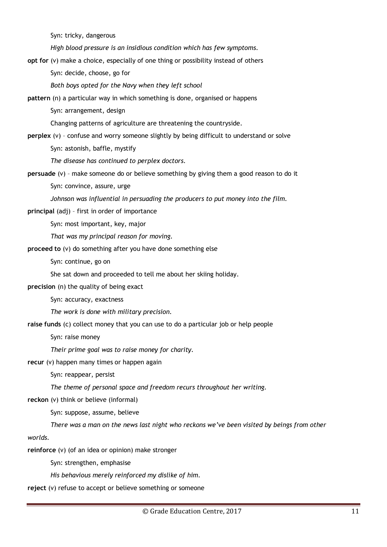Syn: tricky, dangerous

*High blood pressure is an insidious condition which has few symptoms.*

**opt for** (v) make a choice, especially of one thing or possibility instead of others

Syn: decide, choose, go for

*Both boys opted for the Navy when they left school* 

**pattern** (n) a particular way in which something is done, organised or happens

Syn: arrangement, design

Changing patterns of agriculture are threatening the countryside.

**perplex** (v) – confuse and worry someone slightly by being difficult to understand or solve

Syn: astonish, baffle, mystify

*The disease has continued to perplex doctors.*

**persuade** (v) – make someone do or believe something by giving them a good reason to do it

Syn: convince, assure, urge

*Johnson was influential in persuading the producers to put money into the film.*

**principal** (adj) – first in order of importance

Syn: most important, key, major

*That was my principal reason for moving.*

**proceed to** (v) do something after you have done something else

Syn: continue, go on

She sat down and proceeded to tell me about her skiing holiday.

**precision** (n) the quality of being exact

Syn: accuracy, exactness

*The work is done with military precision.*

**raise funds** (c) collect money that you can use to do a particular job or help people

Syn: raise money

*Their prime goal was to raise money for charity.*

**recur** (v) happen many times or happen again

Syn: reappear, persist

*The theme of personal space and freedom recurs throughout her writing.*

**reckon** (v) think or believe (informal)

Syn: suppose, assume, believe

*There was a man on the news last night who reckons we've been visited by beings from other* 

*worlds.*

**reinforce** (v) (of an idea or opinion) make stronger

Syn: strengthen, emphasise

*His behavious merely reinforced my dislike of him.*

**reject** (v) refuse to accept or believe something or someone